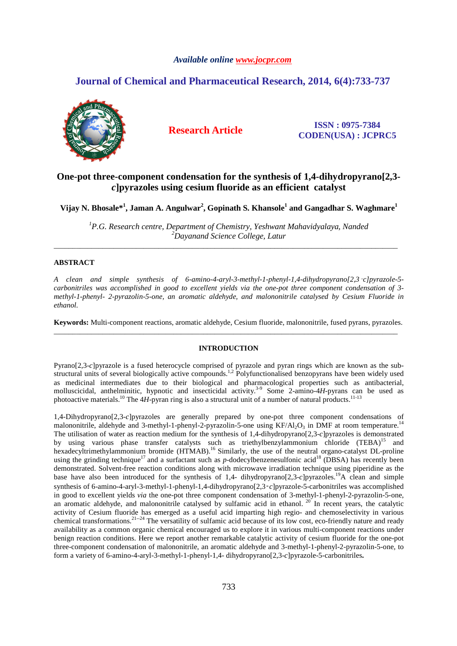# *Available online www.jocpr.com*

# **Journal of Chemical and Pharmaceutical Research, 2014, 6(4):733-737**



**Research Article ISSN : 0975-7384 CODEN(USA) : JCPRC5**

# **One-pot three-component condensation for the synthesis of 1,4-dihydropyrano[2,3** *c***]pyrazoles using cesium fluoride as an efficient catalyst**

**Vijay N. Bhosale\*<sup>1</sup> , Jaman A. Angulwar<sup>2</sup> , Gopinath S. Khansole<sup>1</sup> and Gangadhar S. Waghmare<sup>1</sup>**

*<sup>1</sup>P.G. Research centre, Department of Chemistry, Yeshwant Mahavidyalaya, Nanded <sup>2</sup>Dayanand Science College, Latur* \_\_\_\_\_\_\_\_\_\_\_\_\_\_\_\_\_\_\_\_\_\_\_\_\_\_\_\_\_\_\_\_\_\_\_\_\_\_\_\_\_\_\_\_\_\_\_\_\_\_\_\_\_\_\_\_\_\_\_\_\_\_\_\_\_\_\_\_\_\_\_\_\_\_\_\_\_\_\_\_\_\_\_\_\_\_\_\_\_\_\_\_

# **ABSTRACT**

*A clean and simple synthesis of 6-amino-4-aryl-3-methyl-1-phenyl-1,4-dihydropyrano[2,3*‑*c]pyrazole-5 carbonitriles was accomplished in good to excellent yields via the one-pot three component condensation of 3 methyl-1-phenyl- 2-pyrazolin-5-one, an aromatic aldehyde, and malononitrile catalysed by Cesium Fluoride in ethanol.* 

**Keywords:** Multi-component reactions, aromatic aldehyde, Cesium fluoride, malononitrile, fused pyrans, pyrazoles. \_\_\_\_\_\_\_\_\_\_\_\_\_\_\_\_\_\_\_\_\_\_\_\_\_\_\_\_\_\_\_\_\_\_\_\_\_\_\_\_\_\_\_\_\_\_\_\_\_\_\_\_\_\_\_\_\_\_\_\_\_\_\_\_\_\_\_\_\_\_\_\_\_\_\_\_\_\_\_\_\_\_\_\_\_\_\_\_\_\_\_\_

## **INTRODUCTION**

Pyrano[2,3-*c*]pyrazole is a fused heterocycle comprised of pyrazole and pyran rings which are known as the substructural units of several biologically active compounds.<sup>1,2</sup> Polyfunctionalised benzopyrans have been widely used as medicinal intermediates due to their biological and pharmacological properties such as antibacterial, molluscicidal, anthelminitic, hypnotic and insecticidal activity.3-9 Some 2-amino-4*H*-pyrans can be used as photoactive materials.<sup>10</sup> The 4*H*-pyran ring is also a structural unit of a number of natural products.<sup>11-13</sup>

1,4-Dihydropyrano[2,3-*c*]pyrazoles are generally prepared by one-pot three component condensations of malononitrile, aldehyde and 3-methyl-1-phenyl-2-pyrazolin-5-one using  $KF/Al_2O_3$  in DMF at room temperature.<sup>14</sup> The utilisation of water as reaction medium for the synthesis of 1,4-dihydropyrano[2,3-*c*]pyrazoles is demonstrated by using various phase transfer catalysts such as triethylbenzylammonium chloride (TEBA)<sup>15</sup> and hexadecyltrimethylammonium bromide (HTMAB).<sup>16</sup> Similarly, the use of the neutral organo-catalyst DL-proline using the grinding technique<sup>17</sup> and a surfactant such as *p*-dodecylbenzenesulfonic acid<sup>18</sup> (DBSA) has recently been demonstrated. Solvent-free reaction conditions along with microwave irradiation technique using piperidine as the base have also been introduced for the synthesis of 1,4- dihydropyrano[2,3-*c*]pyrazoles.<sup>19</sup>A clean and simple synthesis of 6-amino-4-aryl-3-methyl-1-phenyl-1,4-dihydropyrano[2,3‑*c*]pyrazole-5-carbonitriles was accomplished in good to excellent yields *via* the one-pot three component condensation of 3-methyl-1-phenyl-2-pyrazolin-5-one, an aromatic aldehyde, and malononitrile catalysed by sulfamic acid in ethanol.<sup>20</sup> In recent years, the catalytic activity of Cesium fluoride has emerged as a useful acid imparting high regio- and chemoselectivity in various chemical transformations.<sup>21-24</sup> The versatility of sulfamic acid because of its low cost, eco-friendly nature and ready availability as a common organic chemical encouraged us to explore it in various multi-component reactions under benign reaction conditions. Here we report another remarkable catalytic activity of cesium fluoride for the one-pot three-component condensation of malononitrile, an aromatic aldehyde and 3-methyl-1-phenyl-2-pyrazolin-5-one, to form a variety of 6-amino-4-aryl-3-methyl-1-phenyl-1,4- dihydropyrano[2,3-*c*]pyrazole-5-carbonitriles**.**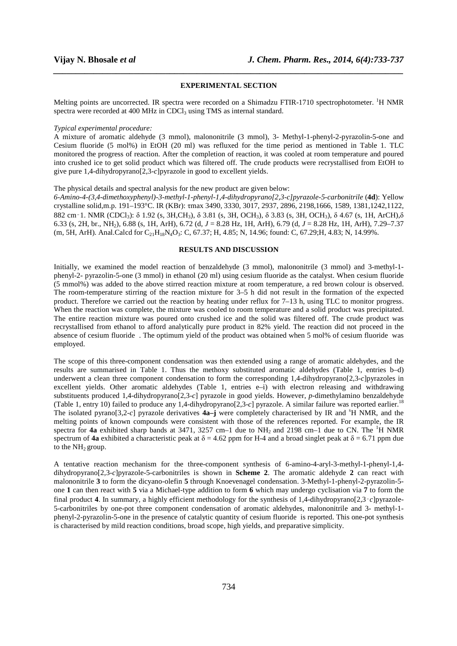### **EXPERIMENTAL SECTION**

*\_\_\_\_\_\_\_\_\_\_\_\_\_\_\_\_\_\_\_\_\_\_\_\_\_\_\_\_\_\_\_\_\_\_\_\_\_\_\_\_\_\_\_\_\_\_\_\_\_\_\_\_\_\_\_\_\_\_\_\_\_\_\_\_\_\_\_\_\_\_\_\_\_\_\_\_\_\_*

Melting points are uncorrected. IR spectra were recorded on a Shimadzu FTIR-1710 spectrophotometer. <sup>1</sup>H NMR spectra were recorded at 400 MHz in CDCl<sub>3</sub> using TMS as internal standard.

### *Typical experimental procedure:*

A mixture of aromatic aldehyde (3 mmol), malononitrile (3 mmol), 3- Methyl-1-phenyl-2-pyrazolin-5-one and Cesium fluoride (5 mol%) in EtOH (20 ml) was refluxed for the time period as mentioned in Table 1. TLC monitored the progress of reaction. After the completion of reaction, it was cooled at room temperature and poured into crushed ice to get solid product which was filtered off. The crude products were recrystallised from EtOH to give pure 1,4-dihydropyrano[2,3-*c*]pyrazole in good to excellent yields.

## The physical details and spectral analysis for the new product are given below:

*6-Amino-4-(3,4-dimethoxyphenyl)-3-methyl-1-phenyl-1,4-dihydropyrano[2,3-c]pyrazole-5-carbonitrile* (**4d**): Yellow crystalline solid,m.p. 191–193°C. IR (KBr): τmax 3490, 3330, 3017, 2937, 2896, 2198,1666, 1589, 1381,1242,1122, 882 cm‑1. NMR (CDCl3): δ 1.92 (s, 3H,CH3), δ 3.81 (s, 3H, OCH3), δ 3.83 (s, 3H, OCH3), δ 4.67 (s, 1H, ArCH),δ 6.33 (s, 2H, br., NH2), 6.88 (s, 1H, ArH), 6.72 (d, *J* = 8.28 Hz, 1H, ArH), 6.79 (d, *J* = 8.28 Hz, 1H, ArH), 7.29–7.37 (m, 5H, ArH). Anal.Calcd for C21H18N4O3: C, 67.37; H, 4.85; N, 14.96; found: C, 67.29;H, 4.83; N, 14.99%.

## **RESULTS AND DISCUSSION**

Initially, we examined the model reaction of benzaldehyde (3 mmol), malononitrile (3 mmol) and 3-methyl-1 phenyl-2- pyrazolin-5-one (3 mmol) in ethanol (20 ml) using cesium fluoride as the catalyst. When cesium fluoride (5 mmol%) was added to the above stirred reaction mixture at room temperature, a red brown colour is observed. The room-temperature stirring of the reaction mixture for 3–5 h did not result in the formation of the expected product. Therefore we carried out the reaction by heating under reflux for 7–13 h, using TLC to monitor progress. When the reaction was complete, the mixture was cooled to room temperature and a solid product was precipitated. The entire reaction mixture was poured onto crushed ice and the solid was filtered off. The crude product was recrystallised from ethanol to afford analytically pure product in 82% yield. The reaction did not proceed in the absence of cesium fluoride . The optimum yield of the product was obtained when 5 mol% of cesium fluoride was employed.

The scope of this three-component condensation was then extended using a range of aromatic aldehydes, and the results are summarised in Table 1. Thus the methoxy substituted aromatic aldehydes (Table 1, entries b–d) underwent a clean three component condensation to form the corresponding 1,4-dihydropyrano[2,3-*c*]pyrazoles in excellent yields. Other aromatic aldehydes (Table 1, entries e–i) with electron releasing and withdrawing substituents produced 1,4-dihydropyrano[2,3-*c*] pyrazole in good yields. However, *p*-dimethylamino benzaldehyde (Table 1, entry 10) failed to produce any 1,4-dihydropyrano[2,3-*c*] pyrazole. A similar failure was reported earlier.<sup>18</sup> The isolated pyrano[3,2-*c*] pyrazole derivatives **4a–j** were completely characterised by IR and <sup>s</sup>H NMR, and the melting points of known compounds were consistent with those of the references reported. For example, the IR spectra for **4a** exhibited sharp bands at 3471, 3257 cm–1 due to NH<sub>2</sub> and 2198 cm–1 due to CN. The <sup>1</sup>H NMR spectrum of **4a** exhibited a characteristic peak at  $\delta = 4.62$  ppm for H-4 and a broad singlet peak at  $\delta = 6.71$  ppm due to the NH<sub>2</sub> group.

A tentative reaction mechanism for the three-component synthesis of 6-amino-4-aryl-3-methyl-1-phenyl-1,4 dihydropyrano[2,3-*c*]pyrazole-5-carbonitriles is shown in **Scheme 2**. The aromatic aldehyde **2** can react with malononitrile **3** to form the dicyano-olefin **5** through Knoevenagel condensation. 3-Methyl-1-phenyl-2-pyrazolin-5 one **1** can then react with **5** via a Michael-type addition to form **6** which may undergo cyclisation via **7** to form the final product **4**. In summary, a highly efficient methodology for the synthesis of 1,4-dihydropyrano[2,3‑*c*]pyrazole-5-carbonitriles by one-pot three component condensation of aromatic aldehydes, malononitrile and 3- methyl-1 phenyl-2-pyrazolin-5-one in the presence of catalytic quantity of cesium fluoride is reported. This one-pot synthesis is characterised by mild reaction conditions, broad scope, high yields, and preparative simplicity.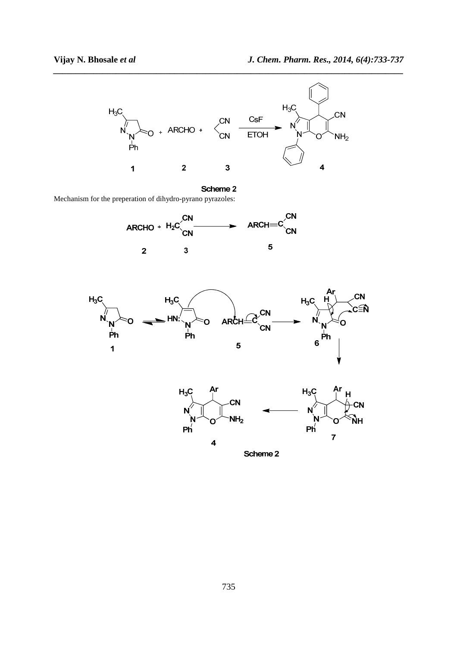

Scheme 2 Mechanism for the preperation of dihydro-pyrano pyrazoles:







Scheme 2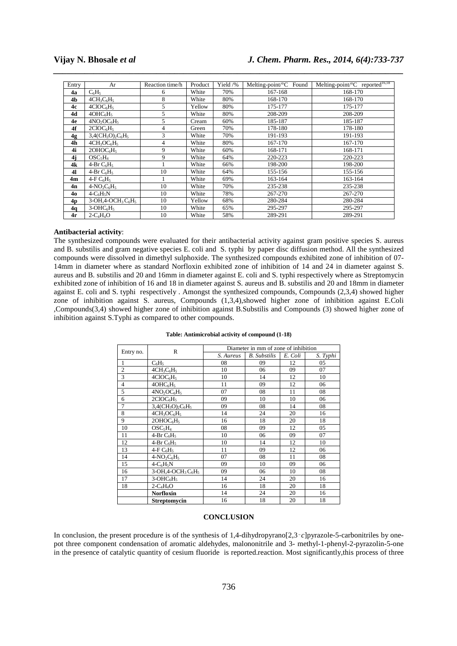# **Vijay N. Bhosale** *et al**J. Chem. Pharm. Res., 2014, 6(4):733-737*

| Entry | Ar                                                                   | Reaction time/h | Product | Yield /% | Melting-point/°C Found | Melting-point/ ${}^{\circ}$ C reported <sup>16,18</sup> |
|-------|----------------------------------------------------------------------|-----------------|---------|----------|------------------------|---------------------------------------------------------|
| 4a    | $C_6H_5$                                                             | 6               | White   | 70%      | 167-168                | 168-170                                                 |
| 4b    | $4CH3C6H5$                                                           | 8               | White   | 80%      | 168-170                | 168-170                                                 |
| 4c    | 4CIOC <sub>6</sub> H <sub>5</sub>                                    | 5               | Yellow  | 80%      | 175-177                | 175-177                                                 |
| 4d    | 4OHC <sub>6</sub> H <sub>5</sub>                                     | 5               | White   | 80%      | 208-209                | 208-209                                                 |
| 4e    | $4NO2OC6H5$                                                          | 5               | Cream   | 60%      | 185-187                | 185-187                                                 |
| 4f    | 2CIOC <sub>6</sub> H <sub>5</sub>                                    | 4               | Green   | 70%      | 178-180                | 178-180                                                 |
| 4g    | $3,4$ (CH <sub>3</sub> O) <sub>2</sub> C <sub>6</sub> H <sub>5</sub> | 3               | White   | 70%      | 191-193                | 191-193                                                 |
| 4h    | $4CH3OC6H5$                                                          | 4               | White   | 80%      | 167-170                | 167-170                                                 |
| 4i    | 2OHOC <sub>6</sub> H <sub>5</sub>                                    | 9               | White   | 60%      | 168-171                | 168-171                                                 |
| 4j    | OSC <sub>5</sub> H <sub>4</sub>                                      | 9               | White   | 64%      | 220-223                | 220-223                                                 |
| 4k    | 4-Br $C_6H_5$                                                        |                 | White   | 66%      | 198-200                | 198-200                                                 |
| 41    | 4-Br $C_6H_5$                                                        | 10              | White   | 64%      | 155-156                | 155-156                                                 |
| 4m    | 4-F $C_6H_5$                                                         |                 | White   | 69%      | 163-164                | 163-164                                                 |
| 4n    | $4-NO_2C_6H_5$                                                       | 10              | White   | 70%      | 235-238                | 235-238                                                 |
| 40    | $4-C6H5N$                                                            | 10              | White   | 78%      | 267-270                | 267-270                                                 |
| 4p    | $3-OH2+OCH3C6H5$                                                     | 10              | Yellow  | 68%      | 280-284                | 280-284                                                 |
| 4q    | $3-OHC6H5$                                                           | 10              | White   | 65%      | 295-297                | 295-297                                                 |
| 4r    | $2-C_4H_4O$                                                          | 10              | White   | 58%      | 289-291                | 289-291                                                 |

*\_\_\_\_\_\_\_\_\_\_\_\_\_\_\_\_\_\_\_\_\_\_\_\_\_\_\_\_\_\_\_\_\_\_\_\_\_\_\_\_\_\_\_\_\_\_\_\_\_\_\_\_\_\_\_\_\_\_\_\_\_\_\_\_\_\_\_\_\_\_\_\_\_\_\_\_\_\_*

## **Antibacterial activity**:

The synthesized compounds were evaluated for their antibacterial activity against gram positive species S. aureus and B. substilis and gram negative species E. coli and S. typhi by paper disc diffusion method. All the synthesized compounds were dissolved in dimethyl sulphoxide. The synthesized compounds exhibited zone of inhibition of 07- 14mm in diameter where as standard Norfloxin exhibited zone of inhibition of 14 and 24 in diameter against S. aureus and B. substilis and 20 and 16mm in diameter against E. coli and S. typhi respectively where as Streptomycin exhibited zone of inhibition of 16 and 18 in diameter against S. aureus and B. substilis and 20 and 18mm in diameter against E. coli and S. typhi respectively . Amongst the synthesized compounds, Compounds (2,3,4) showed higher zone of inhibition against S. aureus, Compounds (1,3,4),showed higher zone of inhibition against E.Coli ,Compounds(3,4) showed higher zone of inhibition against B.Substilis and Compounds (3) showed higher zone of inhibition against S.Typhi as compared to other compounds.

### Entry no. R Diameter in mm of zone of inhibition<br>
S. Aureus | B. Substilis | E. Coli | S. Typhi *B. Substilis* 1 | C<sub>6</sub>H<sub>5</sub> | 08 | 09 | 12 | 05  $\frac{2}{3}$  4CH<sub>3</sub>C<sub>6</sub>H<sub>5</sub> 10 06 09 07<br>3 4ClOC<sub>6</sub>H<sub>5</sub> 10 14 12 10  $4 \text{ClOC}_6\text{H}_5$  10 14 12 10 4 4 4OHC<sub>6</sub>H<sub>5</sub> 11 09 12 06<br>5 4NO<sub>2</sub>OC<sub>6</sub>H<sub>5</sub> 07 08 11 08  $\frac{5}{6}$   $\frac{4NQ_2OC_6H_5}{2CIOC_6H_5}$  07 08 11 08<br>6  $\frac{2CIOC_6H_5}{2CIOC_6H_5}$  09 10 10 06  $2ClOC<sub>6</sub>H<sub>5</sub>$  $\frac{7}{8}$  3,4(CH<sub>3</sub>O)<sub>2</sub>C<sub>6</sub>H<sub>5</sub> 09 08 14 08<br>8 4CH<sub>3</sub>OC<sub>6</sub>H<sub>5</sub> 14 24 20 16 8  $4CH_3OCl_6H_5$  14 24 20 16<br>9 2OHOC<sub>6</sub>H<sub>5</sub> 16 18 20 18 20HOC<sub>6</sub>H<sub>5</sub> 16 18 20 18 10 | OSC<sub>5</sub>H<sub>4</sub> | 08 | 09 | 12 | 05 11  $4-Br C_6H_5$  10 06 09 07  $\frac{12}{13}$  4-Br C<sub>6</sub>H<sub>5</sub> 10 14 12 10<br>13 4-F C<sub>6</sub>H<sub>5</sub> 11 09 12 06 13 4-F C<sub>6</sub>H<sub>5</sub> 11 09 12 06<br>14 4-NO<sub>2</sub>C<sub>6</sub>H<sub>5</sub> 07 08 11 08  $4-NO_2C_6H_5$ 15 4-C<sub>6</sub>H<sub>5</sub>N 09 10 09 06<br>16 3-OH,4-OCH<sub>3</sub>C<sub>6</sub>H<sub>5</sub> 09 06 10 08  $3-OH$ ,4-OCH<sub>3</sub> C<sub>6</sub>H<sub>5</sub> 09 06 17  $3-OHC<sub>6</sub>H<sub>5</sub>$  14 24 20 16 18 2-C<sub>4</sub>H<sub>4</sub>O 16 18 20 18<br> **Norfloxin** 14 24 20 16 **Norfloxin** 14 24 20 16<br>**Streptomycin** 16 18 20 18 **Streptomycin**

### **Table: Antimicrobial activity of compound (1-18)**

### **CONCLUSION**

In conclusion, the present procedure is of the synthesis of 1,4-dihydropyrano[2,3 $-c$ ]pyrazole-5-carbonitriles by onepot three component condensation of aromatic aldehydes, malononitrile and 3- methyl-1-phenyl-2-pyrazolin-5-one in the presence of catalytic quantity of cesium fluoride is reported.reaction. Most significantly,this process of three